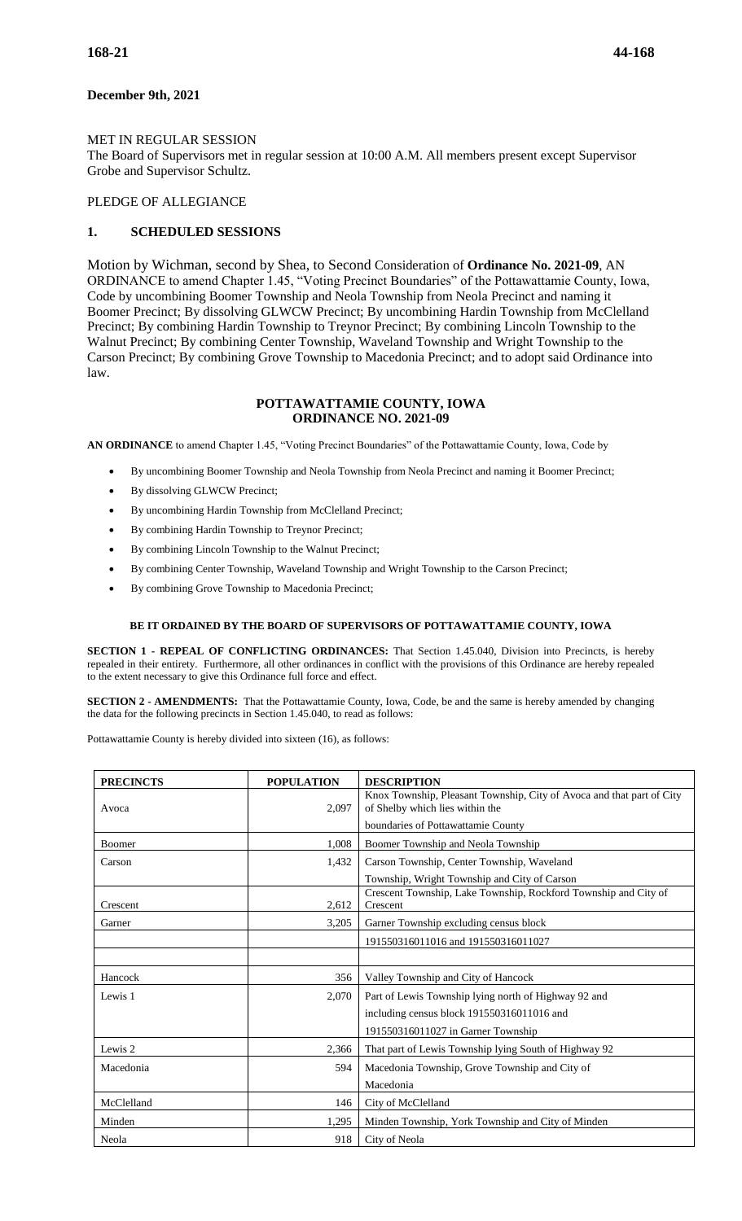# **December 9th, 2021**

### MET IN REGULAR SESSION

The Board of Supervisors met in regular session at 10:00 A.M. All members present except Supervisor Grobe and Supervisor Schultz.

### PLEDGE OF ALLEGIANCE

# **1. SCHEDULED SESSIONS**

Motion by Wichman, second by Shea, to Second Consideration of **Ordinance No. 2021-09**, AN ORDINANCE to amend Chapter 1.45, "Voting Precinct Boundaries" of the Pottawattamie County, Iowa, Code by uncombining Boomer Township and Neola Township from Neola Precinct and naming it Boomer Precinct; By dissolving GLWCW Precinct; By uncombining Hardin Township from McClelland Precinct; By combining Hardin Township to Treynor Precinct; By combining Lincoln Township to the Walnut Precinct; By combining Center Township, Waveland Township and Wright Township to the Carson Precinct; By combining Grove Township to Macedonia Precinct; and to adopt said Ordinance into law.

### **POTTAWATTAMIE COUNTY, IOWA ORDINANCE NO. 2021-09**

**AN ORDINANCE** to amend Chapter 1.45, "Voting Precinct Boundaries" of the Pottawattamie County, Iowa, Code by

- By uncombining Boomer Township and Neola Township from Neola Precinct and naming it Boomer Precinct;
- By dissolving GLWCW Precinct;
- By uncombining Hardin Township from McClelland Precinct;
- By combining Hardin Township to Treynor Precinct;
- By combining Lincoln Township to the Walnut Precinct;
- By combining Center Township, Waveland Township and Wright Township to the Carson Precinct;
- By combining Grove Township to Macedonia Precinct;

#### **BE IT ORDAINED BY THE BOARD OF SUPERVISORS OF POTTAWATTAMIE COUNTY, IOWA**

**SECTION 1 - REPEAL OF CONFLICTING ORDINANCES:** That Section 1.45.040, Division into Precincts, is hereby repealed in their entirety. Furthermore, all other ordinances in conflict with the provisions of this Ordinance are hereby repealed to the extent necessary to give this Ordinance full force and effect.

**SECTION 2 - AMENDMENTS:** That the Pottawattamie County, Iowa, Code, be and the same is hereby amended by changing the data for the following precincts in Section 1.45.040, to read as follows:

Pottawattamie County is hereby divided into sixteen (16), as follows:

| <b>PRECINCTS</b> | <b>POPULATION</b> | <b>DESCRIPTION</b>                                                    |  |  |  |
|------------------|-------------------|-----------------------------------------------------------------------|--|--|--|
|                  |                   | Knox Township, Pleasant Township, City of Avoca and that part of City |  |  |  |
| Avoca            | 2,097             | of Shelby which lies within the                                       |  |  |  |
|                  |                   | boundaries of Pottawattamie County                                    |  |  |  |
| Boomer           | 1,008             | Boomer Township and Neola Township                                    |  |  |  |
| Carson           | 1,432             | Carson Township, Center Township, Waveland                            |  |  |  |
|                  |                   | Township, Wright Township and City of Carson                          |  |  |  |
|                  |                   | Crescent Township, Lake Township, Rockford Township and City of       |  |  |  |
| Crescent         | 2,612             | Crescent                                                              |  |  |  |
| Garner           | 3,205             | Garner Township excluding census block                                |  |  |  |
|                  |                   | 191550316011016 and 191550316011027                                   |  |  |  |
|                  |                   |                                                                       |  |  |  |
| Hancock          | 356               | Valley Township and City of Hancock                                   |  |  |  |
| Lewis 1          | 2,070             | Part of Lewis Township lying north of Highway 92 and                  |  |  |  |
|                  |                   | including census block 191550316011016 and                            |  |  |  |
|                  |                   | 191550316011027 in Garner Township                                    |  |  |  |
| Lewis 2          | 2,366             | That part of Lewis Township lying South of Highway 92                 |  |  |  |
| Macedonia        | 594               | Macedonia Township, Grove Township and City of                        |  |  |  |
|                  |                   | Macedonia                                                             |  |  |  |
| McClelland       | 146               | City of McClelland                                                    |  |  |  |
| Minden           | 1,295             | Minden Township, York Township and City of Minden                     |  |  |  |
| Neola            | 918               | City of Neola                                                         |  |  |  |